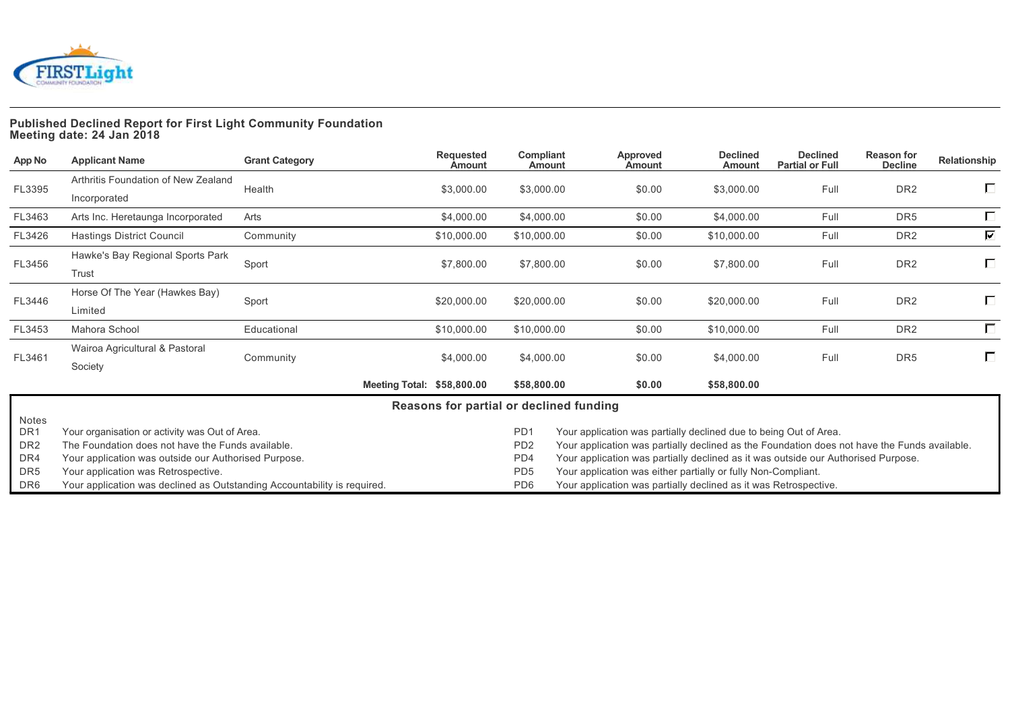

# **Published Declined Report for First Light Community Foundation Meeting date: 24 Jan 2018**

| App No                   | <b>Applicant Name</b>                                                    | <b>Grant Category</b> | Requested<br><b>Amount</b>              | Compliant<br>Amount                                              |                                                                                              | Approved<br><b>Amount</b> | <b>Declined</b><br>Amount                                         | <b>Declined</b><br><b>Partial or Full</b> | <b>Reason for</b><br><b>Decline</b> | Relationship            |  |
|--------------------------|--------------------------------------------------------------------------|-----------------------|-----------------------------------------|------------------------------------------------------------------|----------------------------------------------------------------------------------------------|---------------------------|-------------------------------------------------------------------|-------------------------------------------|-------------------------------------|-------------------------|--|
|                          | Arthritis Foundation of New Zealand                                      |                       |                                         |                                                                  |                                                                                              |                           |                                                                   |                                           |                                     |                         |  |
| FL3395                   | Incorporated                                                             | Health                | \$3,000.00                              | \$3,000.00                                                       |                                                                                              | \$0.00                    | \$3,000.00                                                        | Full                                      | DR <sub>2</sub>                     | $\Box$                  |  |
| FL3463                   | Arts Inc. Heretaunga Incorporated                                        | Arts                  | \$4,000.00                              | \$4,000.00                                                       |                                                                                              | \$0.00                    | \$4,000.00                                                        | Full                                      | DR <sub>5</sub>                     | $\Box$                  |  |
| FL3426                   | <b>Hastings District Council</b>                                         | Community             | \$10,000.00                             | \$10,000.00                                                      |                                                                                              | \$0.00                    | \$10,000.00                                                       | Full                                      | DR <sub>2</sub>                     | $\overline{\mathbf{v}}$ |  |
|                          | Hawke's Bay Regional Sports Park                                         |                       |                                         |                                                                  |                                                                                              |                           |                                                                   |                                           |                                     |                         |  |
| FL3456                   | Trust                                                                    | Sport                 | \$7,800.00                              | \$7,800.00                                                       |                                                                                              | \$0.00                    | \$7,800.00                                                        | Full                                      | DR <sub>2</sub>                     | Г.                      |  |
|                          | Horse Of The Year (Hawkes Bay)                                           |                       |                                         |                                                                  |                                                                                              |                           |                                                                   |                                           |                                     |                         |  |
| FL3446                   | Limited                                                                  | Sport                 | \$20,000.00                             | \$20,000.00                                                      |                                                                                              | \$0.00                    | \$20,000.00                                                       | Full                                      | DR <sub>2</sub>                     | $\Box$                  |  |
| FL3453                   | Mahora School                                                            | Educational           | \$10,000.00                             | \$10,000.00                                                      |                                                                                              | \$0.00                    | \$10,000.00                                                       | Full                                      | DR <sub>2</sub>                     | $\Box$                  |  |
|                          | Wairoa Agricultural & Pastoral                                           |                       |                                         |                                                                  |                                                                                              |                           |                                                                   |                                           |                                     | $\Box$                  |  |
| FL3461                   | Society                                                                  | Community             | \$4,000.00                              | \$4,000.00                                                       |                                                                                              | \$0.00                    | \$4,000.00                                                        | Full                                      | DR <sub>5</sub>                     |                         |  |
|                          |                                                                          |                       | Meeting Total: \$58,800.00              | \$58,800.00                                                      |                                                                                              | \$0.00                    | \$58,800.00                                                       |                                           |                                     |                         |  |
|                          |                                                                          |                       | Reasons for partial or declined funding |                                                                  |                                                                                              |                           |                                                                   |                                           |                                     |                         |  |
| Notes<br>DR <sub>1</sub> | Your organisation or activity was Out of Area.                           |                       |                                         | P <sub>D</sub> 1                                                 |                                                                                              |                           | Your application was partially declined due to being Out of Area. |                                           |                                     |                         |  |
| DR <sub>2</sub>          | The Foundation does not have the Funds available.                        |                       |                                         | P <sub>D</sub> <sub>2</sub>                                      | Your application was partially declined as the Foundation does not have the Funds available. |                           |                                                                   |                                           |                                     |                         |  |
| DR4                      | Your application was outside our Authorised Purpose.                     |                       |                                         | PD4                                                              | Your application was partially declined as it was outside our Authorised Purpose.            |                           |                                                                   |                                           |                                     |                         |  |
| DR <sub>5</sub>          | Your application was Retrospective.                                      |                       |                                         | PD <sub>5</sub>                                                  | Your application was either partially or fully Non-Compliant.                                |                           |                                                                   |                                           |                                     |                         |  |
| DR6                      | Your application was declined as Outstanding Accountability is required. |                       | PD <sub>6</sub>                         | Your application was partially declined as it was Retrospective. |                                                                                              |                           |                                                                   |                                           |                                     |                         |  |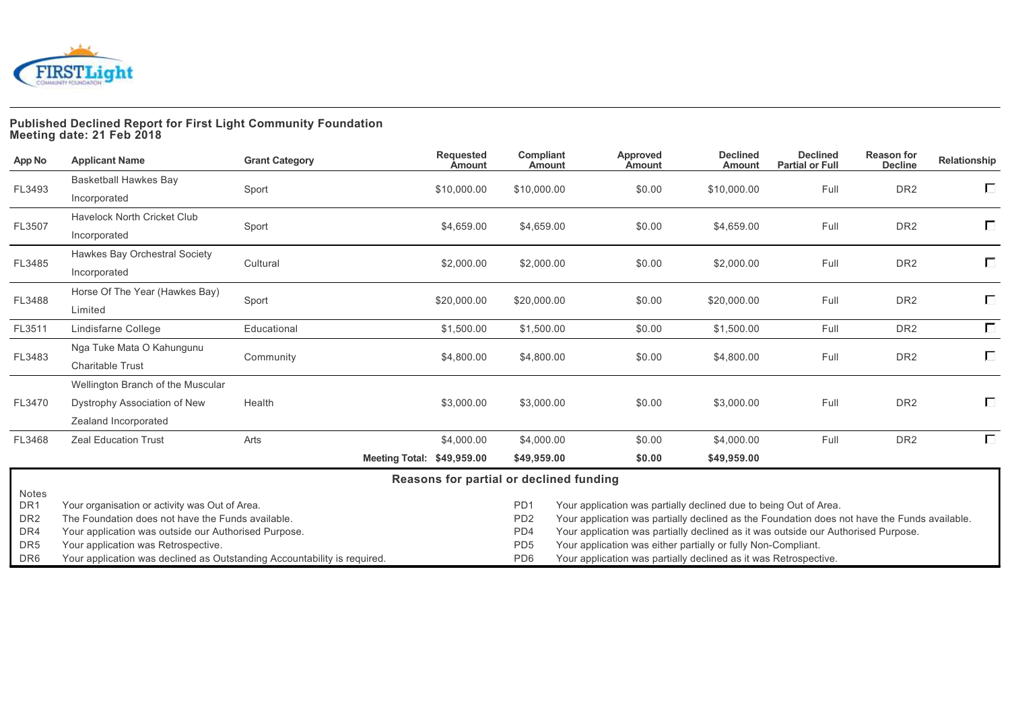

# **Published Declined Report for First Light Community Foundation Meeting date: 21 Feb 2018**

| App No                                                                | <b>Applicant Name</b>                                                                                                                                                                              | <b>Grant Category</b> | Requested<br><b>Amount</b>              | Compliant<br>Amount                                                                                                                                                                                                                                                                                                                                                                                                                                         | Approved<br><b>Amount</b> | <b>Declined</b><br>Amount | <b>Declined</b><br><b>Partial or Full</b> | <b>Reason for</b><br><b>Decline</b> | Relationship |
|-----------------------------------------------------------------------|----------------------------------------------------------------------------------------------------------------------------------------------------------------------------------------------------|-----------------------|-----------------------------------------|-------------------------------------------------------------------------------------------------------------------------------------------------------------------------------------------------------------------------------------------------------------------------------------------------------------------------------------------------------------------------------------------------------------------------------------------------------------|---------------------------|---------------------------|-------------------------------------------|-------------------------------------|--------------|
|                                                                       | Basketball Hawkes Bay                                                                                                                                                                              |                       |                                         |                                                                                                                                                                                                                                                                                                                                                                                                                                                             |                           |                           |                                           |                                     | $\Box$       |
| FL3493                                                                | Incorporated                                                                                                                                                                                       | Sport                 | \$10,000.00                             | \$10,000.00                                                                                                                                                                                                                                                                                                                                                                                                                                                 | \$0.00                    | \$10,000.00               | Full                                      | DR <sub>2</sub>                     |              |
|                                                                       | <b>Havelock North Cricket Club</b>                                                                                                                                                                 |                       |                                         |                                                                                                                                                                                                                                                                                                                                                                                                                                                             |                           |                           |                                           |                                     | $\Box$       |
| FL3507                                                                | Incorporated                                                                                                                                                                                       | Sport                 | \$4,659.00                              | \$4,659.00                                                                                                                                                                                                                                                                                                                                                                                                                                                  | \$0.00                    | \$4,659.00                | Full                                      | DR <sub>2</sub>                     |              |
|                                                                       | Hawkes Bay Orchestral Society                                                                                                                                                                      |                       |                                         |                                                                                                                                                                                                                                                                                                                                                                                                                                                             |                           |                           |                                           |                                     | $\Box$       |
| FL3485                                                                | Incorporated                                                                                                                                                                                       | Cultural              | \$2,000.00                              | \$2,000.00                                                                                                                                                                                                                                                                                                                                                                                                                                                  | \$0.00                    | \$2,000.00                | Full                                      | DR <sub>2</sub>                     |              |
|                                                                       | Horse Of The Year (Hawkes Bay)                                                                                                                                                                     |                       |                                         |                                                                                                                                                                                                                                                                                                                                                                                                                                                             |                           |                           |                                           |                                     | П            |
| FL3488                                                                | Limited                                                                                                                                                                                            | Sport                 | \$20,000.00                             | \$20,000.00                                                                                                                                                                                                                                                                                                                                                                                                                                                 | \$0.00                    | \$20,000.00               | Full                                      | DR <sub>2</sub>                     |              |
| FL3511                                                                | Lindisfarne College                                                                                                                                                                                | Educational           | \$1,500.00                              | \$1,500.00                                                                                                                                                                                                                                                                                                                                                                                                                                                  | \$0.00                    | \$1,500.00                | Full                                      | DR <sub>2</sub>                     | $\Box$       |
| FL3483                                                                | Nga Tuke Mata O Kahungunu                                                                                                                                                                          |                       |                                         |                                                                                                                                                                                                                                                                                                                                                                                                                                                             |                           |                           | Full                                      | DR <sub>2</sub>                     | $\Box$       |
|                                                                       | <b>Charitable Trust</b>                                                                                                                                                                            | Community             | \$4,800.00                              | \$4,800.00                                                                                                                                                                                                                                                                                                                                                                                                                                                  | \$0.00                    | \$4,800.00                |                                           |                                     |              |
|                                                                       | Wellington Branch of the Muscular                                                                                                                                                                  |                       |                                         |                                                                                                                                                                                                                                                                                                                                                                                                                                                             |                           |                           |                                           |                                     |              |
| FL3470                                                                | Dystrophy Association of New                                                                                                                                                                       | Health                | \$3,000.00                              | \$3,000.00                                                                                                                                                                                                                                                                                                                                                                                                                                                  | \$0.00                    | \$3,000.00                | Full                                      | DR <sub>2</sub>                     | $\Box$       |
|                                                                       | Zealand Incorporated                                                                                                                                                                               |                       |                                         |                                                                                                                                                                                                                                                                                                                                                                                                                                                             |                           |                           |                                           |                                     |              |
| FL3468                                                                | <b>Zeal Education Trust</b>                                                                                                                                                                        | Arts                  | \$4,000.00                              | \$4,000.00                                                                                                                                                                                                                                                                                                                                                                                                                                                  | \$0.00                    | \$4,000.00                | Full                                      | DR <sub>2</sub>                     | $\Box$       |
|                                                                       |                                                                                                                                                                                                    |                       | Meeting Total: \$49,959.00              | \$49,959.00                                                                                                                                                                                                                                                                                                                                                                                                                                                 | \$0.00                    | \$49,959.00               |                                           |                                     |              |
|                                                                       |                                                                                                                                                                                                    |                       | Reasons for partial or declined funding |                                                                                                                                                                                                                                                                                                                                                                                                                                                             |                           |                           |                                           |                                     |              |
| Notes<br>DR <sub>1</sub><br>DR <sub>2</sub><br>DR4<br>DR <sub>5</sub> | Your organisation or activity was Out of Area.<br>The Foundation does not have the Funds available.<br>Your application was outside our Authorised Purpose.<br>Your application was Retrospective. |                       |                                         | PD <sub>1</sub><br>Your application was partially declined due to being Out of Area.<br>PD <sub>2</sub><br>Your application was partially declined as the Foundation does not have the Funds available.<br>PD4<br>Your application was partially declined as it was outside our Authorised Purpose.<br>Your application was either partially or fully Non-Compliant.<br>PD <sub>5</sub><br>Your application was partially declined as it was Retrospective. |                           |                           |                                           |                                     |              |
| DR <sub>6</sub>                                                       | Your application was declined as Outstanding Accountability is required.                                                                                                                           |                       |                                         | PD <sub>6</sub>                                                                                                                                                                                                                                                                                                                                                                                                                                             |                           |                           |                                           |                                     |              |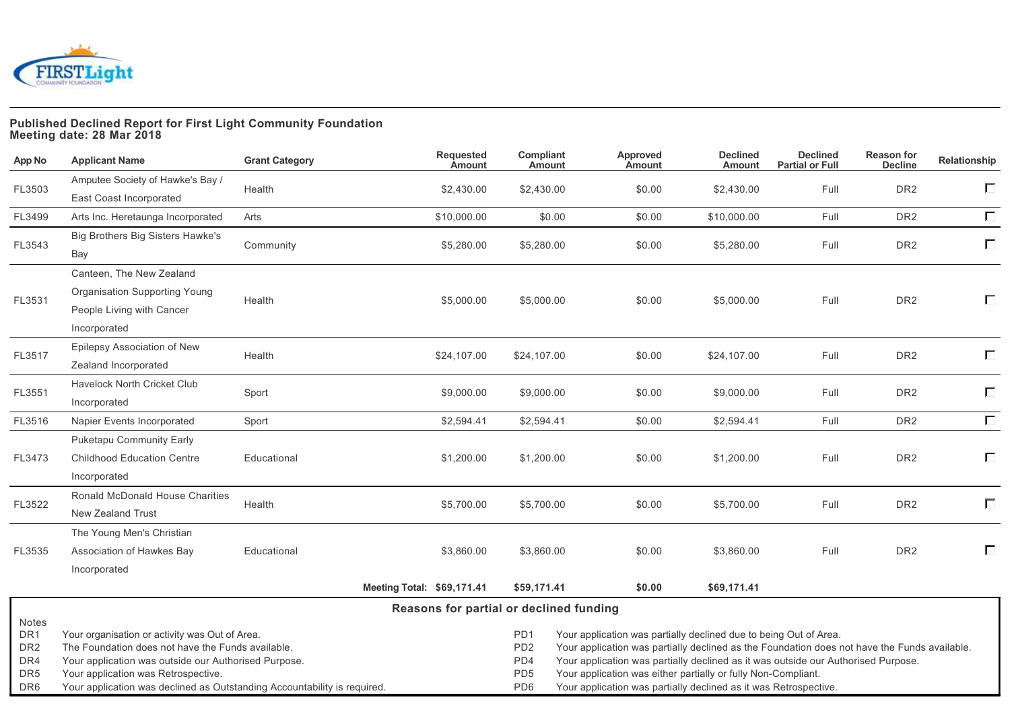

#### **Published Declined Report for First Light Community Foundation Meeting date: 28 Mar 2018**

| App No                                                                                   | <b>Applicant Name</b>                                                                                                                                                                                                                                                          | <b>Grant Category</b> | <b>Requested</b><br><b>Amount</b> | Compliant<br>Amount                                                 | Approved<br>Amount                                                                                                                                                                                                                                                                                                                                                                          | <b>Declined</b><br><b>Amount</b> | <b>Declined</b><br><b>Partial or Full</b> | <b>Reason for</b><br><b>Decline</b> | Relationship |
|------------------------------------------------------------------------------------------|--------------------------------------------------------------------------------------------------------------------------------------------------------------------------------------------------------------------------------------------------------------------------------|-----------------------|-----------------------------------|---------------------------------------------------------------------|---------------------------------------------------------------------------------------------------------------------------------------------------------------------------------------------------------------------------------------------------------------------------------------------------------------------------------------------------------------------------------------------|----------------------------------|-------------------------------------------|-------------------------------------|--------------|
| FL3503                                                                                   | Amputee Society of Hawke's Bay /<br>East Coast Incorporated                                                                                                                                                                                                                    | Health                | \$2,430.00                        | \$2,430.00                                                          | \$0.00                                                                                                                                                                                                                                                                                                                                                                                      | \$2,430.00                       | Full                                      | DR <sub>2</sub>                     | $\Box$       |
| FL3499                                                                                   | Arts Inc. Heretaunga Incorporated                                                                                                                                                                                                                                              | Arts                  | \$10,000.00                       | \$0.00                                                              | \$0.00                                                                                                                                                                                                                                                                                                                                                                                      | \$10,000.00                      | Full                                      | DR <sub>2</sub>                     | $\Box$       |
| FL3543                                                                                   | Big Brothers Big Sisters Hawke's<br>Bay                                                                                                                                                                                                                                        | Community             | \$5,280.00                        | \$5,280.00                                                          | \$0.00                                                                                                                                                                                                                                                                                                                                                                                      | \$5,280.00                       | Full                                      | DR <sub>2</sub>                     | $\Box$       |
|                                                                                          | Canteen, The New Zealand                                                                                                                                                                                                                                                       |                       |                                   |                                                                     |                                                                                                                                                                                                                                                                                                                                                                                             |                                  |                                           |                                     |              |
| FL3531                                                                                   | Organisation Supporting Young<br>People Living with Cancer                                                                                                                                                                                                                     | Health                | \$5,000.00                        | \$5,000.00                                                          | \$0.00                                                                                                                                                                                                                                                                                                                                                                                      | \$5,000.00                       | Full                                      | DR <sub>2</sub>                     | Г            |
|                                                                                          | Incorporated                                                                                                                                                                                                                                                                   |                       |                                   |                                                                     |                                                                                                                                                                                                                                                                                                                                                                                             |                                  |                                           |                                     |              |
| FL3517                                                                                   | Epilepsy Association of New<br>Zealand Incorporated                                                                                                                                                                                                                            | Health                | \$24,107.00                       | \$24,107.00                                                         | \$0.00                                                                                                                                                                                                                                                                                                                                                                                      | \$24,107.00                      | Full                                      | DR <sub>2</sub>                     | $\Box$       |
| FL3551                                                                                   | Havelock North Cricket Club<br>Incorporated                                                                                                                                                                                                                                    | Sport                 | \$9,000.00                        | \$9,000.00                                                          | \$0.00                                                                                                                                                                                                                                                                                                                                                                                      | \$9,000.00                       | Full                                      | DR <sub>2</sub>                     | П            |
| FL3516                                                                                   | Napier Events Incorporated                                                                                                                                                                                                                                                     | Sport                 | \$2,594.41                        | \$2,594.41                                                          | \$0.00                                                                                                                                                                                                                                                                                                                                                                                      | \$2,594.41                       | Full                                      | DR <sub>2</sub>                     | $\Box$       |
|                                                                                          | Puketapu Community Early                                                                                                                                                                                                                                                       |                       |                                   |                                                                     |                                                                                                                                                                                                                                                                                                                                                                                             |                                  |                                           |                                     |              |
| FL3473                                                                                   | <b>Childhood Education Centre</b>                                                                                                                                                                                                                                              | Educational           | \$1,200.00                        | \$1,200.00                                                          | \$0.00                                                                                                                                                                                                                                                                                                                                                                                      | \$1,200.00                       | Full                                      | DR <sub>2</sub>                     | Г            |
|                                                                                          | Incorporated                                                                                                                                                                                                                                                                   |                       |                                   |                                                                     |                                                                                                                                                                                                                                                                                                                                                                                             |                                  |                                           |                                     |              |
| FL3522                                                                                   | Ronald McDonald House Charities                                                                                                                                                                                                                                                | Health                | \$5,700.00                        | \$5,700.00                                                          | \$0.00                                                                                                                                                                                                                                                                                                                                                                                      | \$5,700.00                       | Full                                      | DR <sub>2</sub>                     | $\Box$       |
|                                                                                          | New Zealand Trust                                                                                                                                                                                                                                                              |                       |                                   |                                                                     |                                                                                                                                                                                                                                                                                                                                                                                             |                                  |                                           |                                     |              |
|                                                                                          | The Young Men's Christian                                                                                                                                                                                                                                                      |                       |                                   |                                                                     |                                                                                                                                                                                                                                                                                                                                                                                             |                                  |                                           |                                     |              |
| FL3535                                                                                   | Association of Hawkes Bay                                                                                                                                                                                                                                                      | Educational           | \$3,860.00                        | \$3,860.00                                                          | \$0.00                                                                                                                                                                                                                                                                                                                                                                                      | \$3,860.00                       | Full                                      | DR <sub>2</sub>                     | $\Box$       |
|                                                                                          | Incorporated                                                                                                                                                                                                                                                                   |                       |                                   |                                                                     |                                                                                                                                                                                                                                                                                                                                                                                             |                                  |                                           |                                     |              |
|                                                                                          |                                                                                                                                                                                                                                                                                |                       | Meeting Total: \$69,171.41        | \$59,171.41                                                         | \$0.00                                                                                                                                                                                                                                                                                                                                                                                      | \$69,171.41                      |                                           |                                     |              |
| Reasons for partial or declined funding                                                  |                                                                                                                                                                                                                                                                                |                       |                                   |                                                                     |                                                                                                                                                                                                                                                                                                                                                                                             |                                  |                                           |                                     |              |
| Notes<br>DR <sub>1</sub><br>DR <sub>2</sub><br>DR4<br>DR <sub>5</sub><br>DR <sub>6</sub> | Your organisation or activity was Out of Area.<br>The Foundation does not have the Funds available.<br>Your application was outside our Authorised Purpose.<br>Your application was Retrospective.<br>Your application was declined as Outstanding Accountability is required. |                       |                                   | PD1<br>PD <sub>2</sub><br>PD4<br>PD <sub>5</sub><br>PD <sub>6</sub> | Your application was partially declined due to being Out of Area.<br>Your application was partially declined as the Foundation does not have the Funds available.<br>Your application was partially declined as it was outside our Authorised Purpose.<br>Your application was either partially or fully Non-Compliant.<br>Your application was partially declined as it was Retrospective. |                                  |                                           |                                     |              |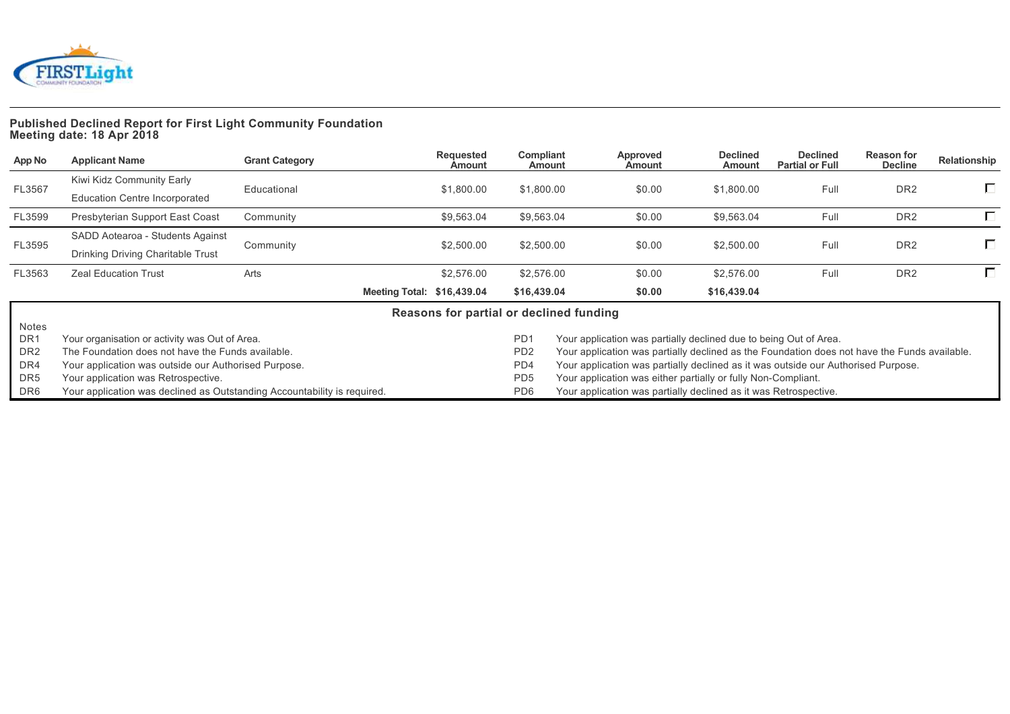

# **Published Declined Report for First Light Community Foundation Meeting date: 18 Apr 2018**

| App No          | <b>Applicant Name</b>                                                    | <b>Grant Category</b> | Requested<br>Amount                     | Compliant<br>Amount | Approved<br>Amount                                                                           | <b>Declined</b><br>Amount | <b>Declined</b><br><b>Partial or Full</b> | <b>Reason for</b><br><b>Decline</b> | Relationship |
|-----------------|--------------------------------------------------------------------------|-----------------------|-----------------------------------------|---------------------|----------------------------------------------------------------------------------------------|---------------------------|-------------------------------------------|-------------------------------------|--------------|
| FL3567          | Kiwi Kidz Community Early                                                | Educational           |                                         |                     |                                                                                              |                           | Full                                      |                                     | П            |
|                 | Education Centre Incorporated                                            |                       | \$1,800.00                              | \$1,800.00          | \$0.00                                                                                       | \$1,800.00                |                                           | DR <sub>2</sub>                     |              |
| FL3599          | Presbyterian Support East Coast                                          | Community             | \$9,563.04                              | \$9,563.04          | \$0.00                                                                                       | \$9,563.04                | Full                                      | DR <sub>2</sub>                     |              |
|                 | SADD Aotearoa - Students Against                                         |                       |                                         |                     |                                                                                              |                           |                                           |                                     |              |
| FL3595          | Drinking Driving Charitable Trust                                        | Community             | \$2,500.00                              | \$2,500.00          | \$0.00                                                                                       | \$2,500.00                | Full                                      | DR <sub>2</sub>                     | П.           |
| FL3563          | <b>Zeal Education Trust</b>                                              | Arts                  | \$2,576.00                              | \$2,576.00          | \$0.00                                                                                       | \$2,576.00                | Full                                      | DR <sub>2</sub>                     | П.           |
|                 |                                                                          |                       | Meeting Total: \$16,439.04              | \$16,439.04         | \$0.00                                                                                       | \$16,439.04               |                                           |                                     |              |
|                 |                                                                          |                       | Reasons for partial or declined funding |                     |                                                                                              |                           |                                           |                                     |              |
| Notes           |                                                                          |                       |                                         |                     |                                                                                              |                           |                                           |                                     |              |
| DR <sub>1</sub> | Your organisation or activity was Out of Area.                           |                       |                                         | PD <sub>1</sub>     | Your application was partially declined due to being Out of Area.                            |                           |                                           |                                     |              |
| DR <sub>2</sub> | The Foundation does not have the Funds available.                        |                       |                                         | PD <sub>2</sub>     | Your application was partially declined as the Foundation does not have the Funds available. |                           |                                           |                                     |              |
| DR4             | Your application was outside our Authorised Purpose.                     |                       |                                         | PD4                 | Your application was partially declined as it was outside our Authorised Purpose.            |                           |                                           |                                     |              |
| DR5             | Your application was Retrospective.                                      |                       |                                         | PD <sub>5</sub>     | Your application was either partially or fully Non-Compliant.                                |                           |                                           |                                     |              |
| DR6             | Your application was declined as Outstanding Accountability is required. |                       |                                         | PD <sub>6</sub>     | Your application was partially declined as it was Retrospective.                             |                           |                                           |                                     |              |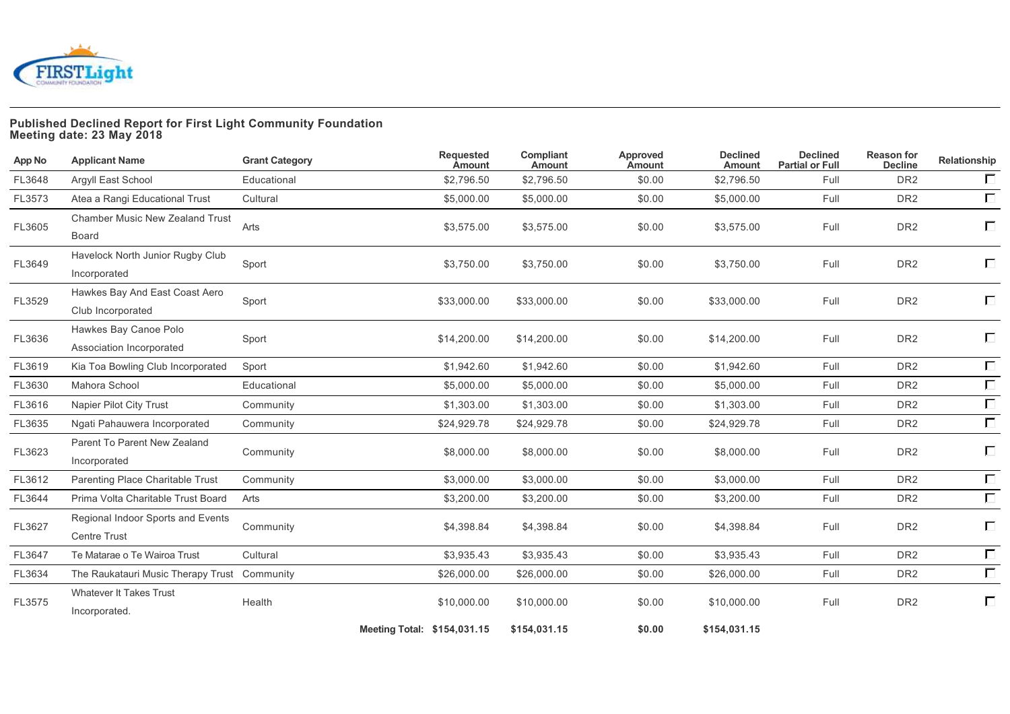

# **Published Declined Report for First Light Community Foundation Meeting date: 23 May 2018**

| App No | <b>Applicant Name</b>                                    | <b>Grant Category</b> | <b>Requested</b><br><b>Amount</b> | Compliant<br>Amount | Approved<br>Amount | <b>Declined</b><br><b>Amount</b> | <b>Declined</b><br><b>Partial or Full</b> | <b>Reason for</b><br><b>Decline</b> | Relationship |
|--------|----------------------------------------------------------|-----------------------|-----------------------------------|---------------------|--------------------|----------------------------------|-------------------------------------------|-------------------------------------|--------------|
| FL3648 | Argyll East School                                       | Educational           | \$2,796.50                        | \$2,796.50          | \$0.00             | \$2,796.50                       | Full                                      | DR <sub>2</sub>                     | $\Box$       |
| FL3573 | Atea a Rangi Educational Trust                           | Cultural              | \$5,000.00                        | \$5,000.00          | \$0.00             | \$5,000.00                       | Full                                      | DR <sub>2</sub>                     | $\Box$       |
| FL3605 | <b>Chamber Music New Zealand Trust</b><br>Board          | Arts                  | \$3,575.00                        | \$3,575.00          | \$0.00             | \$3,575.00                       | Full                                      | DR <sub>2</sub>                     | $\Box$       |
| FL3649 | Havelock North Junior Rugby Club<br>Incorporated         | Sport                 | \$3,750.00                        | \$3,750.00          | \$0.00             | \$3,750.00                       | Full                                      | DR <sub>2</sub>                     | П            |
| FL3529 | Hawkes Bay And East Coast Aero<br>Club Incorporated      | Sport                 | \$33,000.00                       | \$33,000.00         | \$0.00             | \$33,000.00                      | Full                                      | DR <sub>2</sub>                     | $\Box$       |
| FL3636 | Hawkes Bay Canoe Polo<br>Association Incorporated        | Sport                 | \$14,200.00                       | \$14,200.00         | \$0.00             | \$14,200.00                      | Full                                      | DR <sub>2</sub>                     | П            |
| FL3619 | Kia Toa Bowling Club Incorporated                        | Sport                 | \$1,942.60                        | \$1,942.60          | \$0.00             | \$1,942.60                       | Full                                      | DR <sub>2</sub>                     | $\Box$       |
| FL3630 | Mahora School                                            | Educational           | \$5,000.00                        | \$5,000.00          | \$0.00             | \$5,000.00                       | Full                                      | DR <sub>2</sub>                     | $\Box$       |
| FL3616 | Napier Pilot City Trust                                  | Community             | \$1,303.00                        | \$1,303.00          | \$0.00             | \$1,303.00                       | Full                                      | DR <sub>2</sub>                     | $\Box$       |
| FL3635 | Ngati Pahauwera Incorporated                             | Community             | \$24,929.78                       | \$24,929.78         | \$0.00             | \$24,929.78                      | Full                                      | DR <sub>2</sub>                     | $\Box$       |
| FL3623 | Parent To Parent New Zealand<br>Incorporated             | Community             | \$8,000.00                        | \$8,000.00          | \$0.00             | \$8,000.00                       | Full                                      | DR <sub>2</sub>                     | $\Box$       |
| FL3612 | Parenting Place Charitable Trust                         | Community             | \$3,000.00                        | \$3,000.00          | \$0.00             | \$3,000.00                       | Full                                      | DR <sub>2</sub>                     | $\Box$       |
| FL3644 | Prima Volta Charitable Trust Board                       | Arts                  | \$3,200.00                        | \$3,200.00          | \$0.00             | \$3,200.00                       | Full                                      | DR <sub>2</sub>                     | $\Box$       |
| FL3627 | Regional Indoor Sports and Events<br><b>Centre Trust</b> | Community             | \$4,398.84                        | \$4,398.84          | \$0.00             | \$4,398.84                       | Full                                      | DR <sub>2</sub>                     | $\Box$       |
| FL3647 | Te Matarae o Te Wairoa Trust                             | Cultural              | \$3,935.43                        | \$3,935.43          | \$0.00             | \$3,935.43                       | Full                                      | DR <sub>2</sub>                     | $\Box$       |
| FL3634 | The Raukatauri Music Therapy Trust Community             |                       | \$26,000.00                       | \$26,000.00         | \$0.00             | \$26,000.00                      | Full                                      | DR <sub>2</sub>                     | $\Box$       |
| FL3575 | <b>Whatever It Takes Trust</b><br>Incorporated.          | Health                | \$10,000.00                       | \$10,000.00         | \$0.00             | \$10,000.00                      | Full                                      | DR <sub>2</sub>                     | П            |
|        |                                                          |                       | Meeting Total: \$154,031.15       | \$154,031.15        | \$0.00             | \$154,031.15                     |                                           |                                     |              |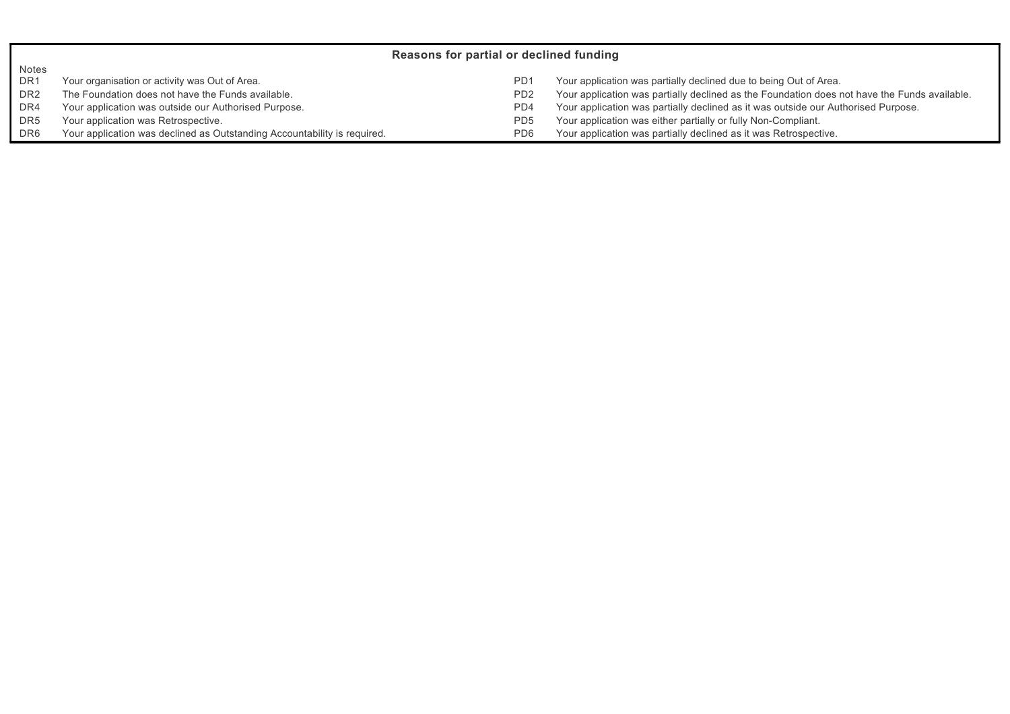|                 | Reasons for partial or declined funding                                  |                             |                                                                                              |  |  |  |  |  |  |  |
|-----------------|--------------------------------------------------------------------------|-----------------------------|----------------------------------------------------------------------------------------------|--|--|--|--|--|--|--|
| Notes           |                                                                          |                             |                                                                                              |  |  |  |  |  |  |  |
| DR <sub>1</sub> | Your organisation or activity was Out of Area.                           | PD <sub>1</sub>             | Your application was partially declined due to being Out of Area.                            |  |  |  |  |  |  |  |
| DR <sub>2</sub> | The Foundation does not have the Funds available.                        | P <sub>D</sub> <sub>2</sub> | Your application was partially declined as the Foundation does not have the Funds available. |  |  |  |  |  |  |  |
| DR4             | Your application was outside our Authorised Purpose.                     | PD <sub>4</sub>             | Your application was partially declined as it was outside our Authorised Purpose.            |  |  |  |  |  |  |  |
| DR <sub>5</sub> | Your application was Retrospective.                                      | P <sub>D</sub> <sub>5</sub> | Your application was either partially or fully Non-Compliant.                                |  |  |  |  |  |  |  |
| DR <sub>6</sub> | Your application was declined as Outstanding Accountability is required. | PD <sub>6</sub>             | Your application was partially declined as it was Retrospective.                             |  |  |  |  |  |  |  |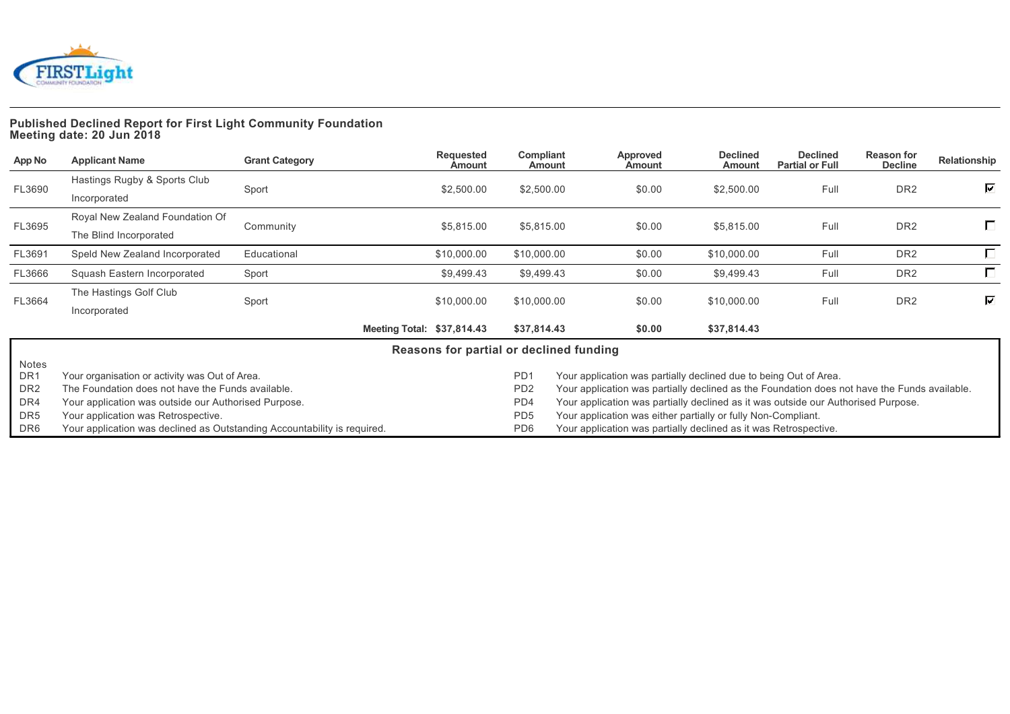

### **Published Declined Report for First Light Community Foundation Meeting date: 20 Jun 2018**

| App No          | <b>Applicant Name</b>                                                    | <b>Grant Category</b> | <b>Requested</b><br>Amount              | Compliant<br>Amount | <b>Approved</b><br><b>Amount</b> | <b>Declined</b><br>Amount                                                                    | <b>Declined</b><br><b>Partial or Full</b> | <b>Reason for</b><br><b>Decline</b> | Relationship |
|-----------------|--------------------------------------------------------------------------|-----------------------|-----------------------------------------|---------------------|----------------------------------|----------------------------------------------------------------------------------------------|-------------------------------------------|-------------------------------------|--------------|
| FL3690          | Hastings Rugby & Sports Club                                             |                       | \$2,500.00                              | \$2,500.00          |                                  | \$2,500.00                                                                                   | Full                                      | DR <sub>2</sub>                     | ☑            |
|                 | Incorporated                                                             | Sport                 |                                         |                     | \$0.00                           |                                                                                              |                                           |                                     |              |
|                 | Royal New Zealand Foundation Of                                          |                       |                                         |                     |                                  |                                                                                              |                                           |                                     | П            |
| FL3695          | The Blind Incorporated                                                   | Community             | \$5,815.00                              | \$5,815.00          | \$0.00                           | \$5,815.00                                                                                   | Full                                      | DR <sub>2</sub>                     |              |
| FL3691          | Speld New Zealand Incorporated                                           | Educational           | \$10,000.00                             | \$10,000.00         | \$0.00                           | \$10,000.00                                                                                  | Full                                      | DR <sub>2</sub>                     | $\Box$       |
| FL3666          | Squash Eastern Incorporated                                              | Sport                 | \$9,499.43                              | \$9,499.43          | \$0.00                           | \$9,499.43                                                                                   | Full                                      | DR <sub>2</sub>                     | П            |
|                 | The Hastings Golf Club                                                   |                       |                                         |                     |                                  |                                                                                              |                                           |                                     | ⊽            |
| FL3664          | Incorporated                                                             | Sport                 | \$10,000.00                             | \$10,000.00         | \$0.00                           | \$10,000.00                                                                                  | Full                                      | DR <sub>2</sub>                     |              |
|                 |                                                                          |                       | Meeting Total: \$37,814.43              | \$37,814.43         | \$0.00                           | \$37,814.43                                                                                  |                                           |                                     |              |
|                 |                                                                          |                       | Reasons for partial or declined funding |                     |                                  |                                                                                              |                                           |                                     |              |
| Notes           |                                                                          |                       |                                         |                     |                                  |                                                                                              |                                           |                                     |              |
| DR <sub>1</sub> | Your organisation or activity was Out of Area.                           |                       |                                         | PD <sub>1</sub>     |                                  | Your application was partially declined due to being Out of Area.                            |                                           |                                     |              |
| DR <sub>2</sub> | The Foundation does not have the Funds available.                        |                       |                                         | PD <sub>2</sub>     |                                  | Your application was partially declined as the Foundation does not have the Funds available. |                                           |                                     |              |
| DR4             | Your application was outside our Authorised Purpose.                     |                       |                                         | PD4                 |                                  | Your application was partially declined as it was outside our Authorised Purpose.            |                                           |                                     |              |
| DR <sub>5</sub> | Your application was Retrospective.                                      |                       |                                         | PD <sub>5</sub>     |                                  | Your application was either partially or fully Non-Compliant.                                |                                           |                                     |              |
| DR6             | Your application was declined as Outstanding Accountability is required. |                       |                                         | PD <sub>6</sub>     |                                  | Your application was partially declined as it was Retrospective.                             |                                           |                                     |              |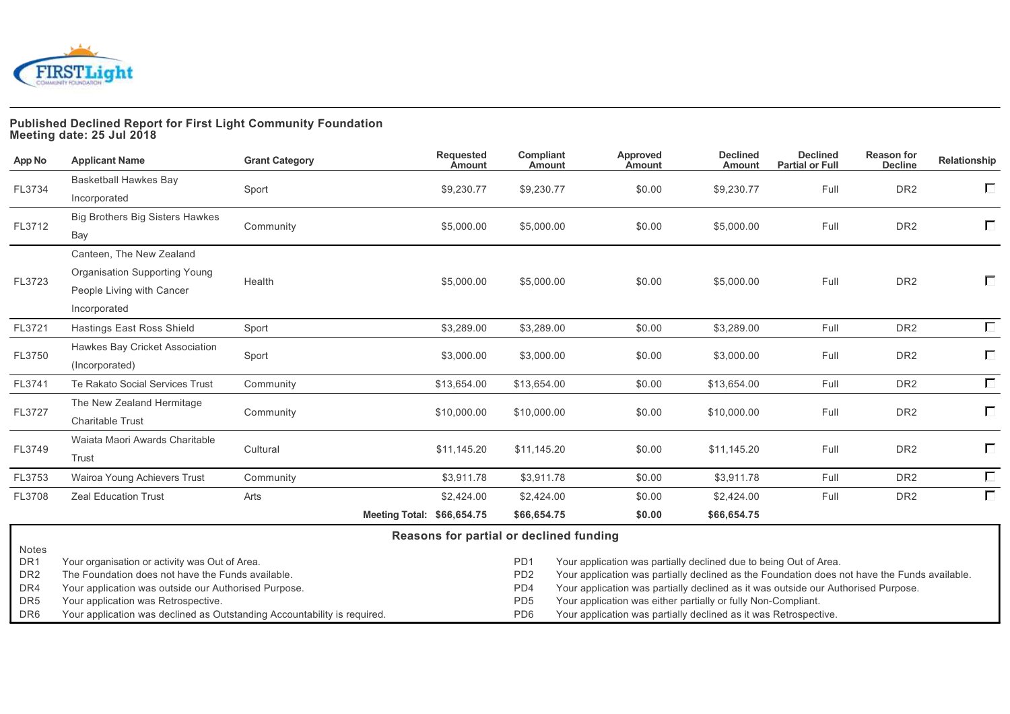

# **Published Declined Report for First Light Community Foundation Meeting date: 25 Jul 2018**

| App No                 | <b>Applicant Name</b>                                                                               | <b>Grant Category</b> | <b>Requested</b><br><b>Amount</b> | Compliant<br>Amount                                                              | Approved<br><b>Amount</b>                                                                                                                                         | <b>Declined</b><br>Amount | <b>Declined</b><br><b>Partial or Full</b> | <b>Reason for</b><br><b>Decline</b> | Relationship |
|------------------------|-----------------------------------------------------------------------------------------------------|-----------------------|-----------------------------------|----------------------------------------------------------------------------------|-------------------------------------------------------------------------------------------------------------------------------------------------------------------|---------------------------|-------------------------------------------|-------------------------------------|--------------|
|                        | Basketball Hawkes Bay                                                                               |                       |                                   |                                                                                  |                                                                                                                                                                   |                           |                                           | DR <sub>2</sub>                     | Е            |
| FL3734                 | Incorporated                                                                                        | Sport                 | \$9,230.77                        | \$9,230.77                                                                       | \$0.00                                                                                                                                                            | \$9,230.77                | Full                                      |                                     |              |
|                        | Big Brothers Big Sisters Hawkes                                                                     |                       |                                   |                                                                                  |                                                                                                                                                                   |                           |                                           |                                     | Г            |
| FL3712                 | Bay                                                                                                 | Community             | \$5,000.00                        | \$5,000.00                                                                       | \$0.00                                                                                                                                                            | \$5,000.00                | Full                                      | DR <sub>2</sub>                     |              |
|                        | Canteen, The New Zealand                                                                            |                       |                                   |                                                                                  |                                                                                                                                                                   |                           |                                           |                                     |              |
|                        | Organisation Supporting Young                                                                       |                       |                                   |                                                                                  |                                                                                                                                                                   |                           |                                           |                                     |              |
| FL3723                 | People Living with Cancer                                                                           | Health                | \$5,000.00                        | \$5,000.00                                                                       | \$0.00                                                                                                                                                            | \$5,000.00                | Full                                      | DR <sub>2</sub>                     | Е            |
|                        | Incorporated                                                                                        |                       |                                   |                                                                                  |                                                                                                                                                                   |                           |                                           |                                     |              |
| FL3721                 | Hastings East Ross Shield                                                                           | Sport                 | \$3,289.00                        | \$3,289.00                                                                       | \$0.00                                                                                                                                                            | \$3,289.00                | Full                                      | DR <sub>2</sub>                     | $\Box$       |
|                        | Hawkes Bay Cricket Association                                                                      |                       |                                   |                                                                                  |                                                                                                                                                                   |                           |                                           |                                     | $\Box$       |
| FL3750                 | (Incorporated)                                                                                      | Sport                 | \$3,000.00                        | \$3,000.00                                                                       | \$0.00                                                                                                                                                            | \$3,000.00                | Full                                      | DR <sub>2</sub>                     |              |
| FL3741                 | Te Rakato Social Services Trust                                                                     | Community             | \$13,654.00                       | \$13,654.00                                                                      | \$0.00                                                                                                                                                            | \$13,654.00               | Full                                      | DR <sub>2</sub>                     | $\Box$       |
| FL3727                 | The New Zealand Hermitage                                                                           |                       | \$10,000.00                       |                                                                                  |                                                                                                                                                                   | \$10,000.00               |                                           | DR <sub>2</sub>                     | $\Box$       |
|                        | <b>Charitable Trust</b>                                                                             | Community             |                                   | \$10,000.00                                                                      | \$0.00                                                                                                                                                            |                           | Full                                      |                                     |              |
| FL3749                 | Waiata Maori Awards Charitable                                                                      | Cultural              | \$11,145.20                       | \$11,145.20                                                                      | \$0.00                                                                                                                                                            | \$11,145.20               |                                           | DR <sub>2</sub>                     | $\Box$       |
|                        | Trust                                                                                               |                       |                                   |                                                                                  |                                                                                                                                                                   |                           | Full                                      |                                     |              |
| FL3753                 | Wairoa Young Achievers Trust                                                                        | Community             | \$3,911.78                        | \$3,911.78                                                                       | \$0.00                                                                                                                                                            | \$3,911.78                | Full                                      | DR <sub>2</sub>                     | $\Box$       |
| FL3708                 | <b>Zeal Education Trust</b>                                                                         | Arts                  | \$2,424.00                        | \$2,424.00                                                                       | \$0.00                                                                                                                                                            | \$2,424.00                | Full                                      | DR <sub>2</sub>                     | $\Box$       |
|                        |                                                                                                     |                       | Meeting Total: \$66,654.75        | \$66,654.75                                                                      | \$0.00                                                                                                                                                            | \$66,654.75               |                                           |                                     |              |
|                        |                                                                                                     |                       |                                   | Reasons for partial or declined funding                                          |                                                                                                                                                                   |                           |                                           |                                     |              |
| <b>Notes</b>           |                                                                                                     |                       |                                   |                                                                                  |                                                                                                                                                                   |                           |                                           |                                     |              |
| DR1<br>DR <sub>2</sub> | Your organisation or activity was Out of Area.<br>The Foundation does not have the Funds available. |                       |                                   | PD <sub>1</sub><br>PD <sub>2</sub>                                               | Your application was partially declined due to being Out of Area.<br>Your application was partially declined as the Foundation does not have the Funds available. |                           |                                           |                                     |              |
| DR4                    | Your application was outside our Authorised Purpose.                                                |                       |                                   | PD4                                                                              | Your application was partially declined as it was outside our Authorised Purpose.                                                                                 |                           |                                           |                                     |              |
| DR <sub>5</sub>        | Your application was Retrospective.                                                                 |                       |                                   | PD <sub>5</sub><br>Your application was either partially or fully Non-Compliant. |                                                                                                                                                                   |                           |                                           |                                     |              |
| DR <sub>6</sub>        | Your application was declined as Outstanding Accountability is required.                            |                       |                                   | PD <sub>6</sub>                                                                  | Your application was partially declined as it was Retrospective.                                                                                                  |                           |                                           |                                     |              |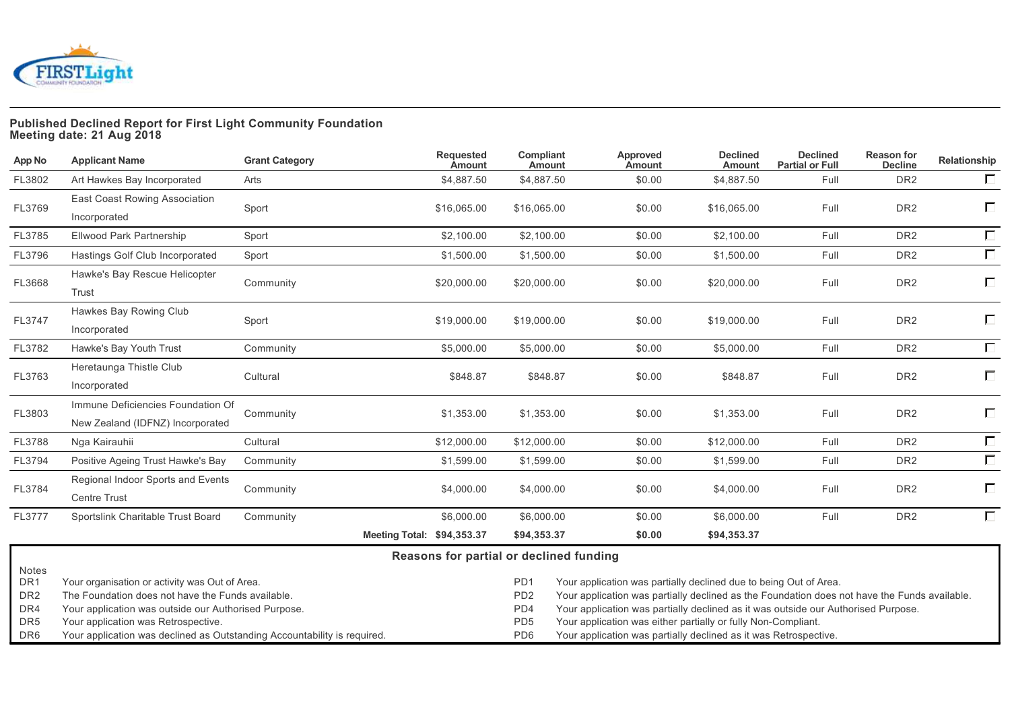

# **Published Declined Report for First Light Community Foundation Meeting date: 21 Aug 2018**

| App No                                             | <b>Applicant Name</b>                                                                                                                                       | <b>Grant Category</b> | <b>Requested</b><br><b>Amount</b>       | Compliant<br>Amount                                   | Approved<br>Amount                                                                                                                                                                                                                                     | <b>Declined</b><br>Amount | <b>Declined</b><br><b>Partial or Full</b> | <b>Reason for</b><br><b>Decline</b> | Relationship |
|----------------------------------------------------|-------------------------------------------------------------------------------------------------------------------------------------------------------------|-----------------------|-----------------------------------------|-------------------------------------------------------|--------------------------------------------------------------------------------------------------------------------------------------------------------------------------------------------------------------------------------------------------------|---------------------------|-------------------------------------------|-------------------------------------|--------------|
| FL3802                                             | Art Hawkes Bay Incorporated                                                                                                                                 | Arts                  | \$4,887.50                              | \$4,887.50                                            | \$0.00                                                                                                                                                                                                                                                 | \$4.887.50                | Full                                      | DR <sub>2</sub>                     | $\Box$       |
| FL3769                                             | East Coast Rowing Association<br>Incorporated                                                                                                               | Sport                 | \$16,065.00                             | \$16,065.00                                           | \$0.00                                                                                                                                                                                                                                                 | \$16,065.00               | Full                                      | DR <sub>2</sub>                     | Е            |
| FL3785                                             | Ellwood Park Partnership                                                                                                                                    | Sport                 | \$2,100.00                              | \$2,100.00                                            | \$0.00                                                                                                                                                                                                                                                 | \$2,100.00                | Full                                      | DR <sub>2</sub>                     | $\Box$       |
| FL3796                                             | Hastings Golf Club Incorporated                                                                                                                             | Sport                 | \$1,500.00                              | \$1,500.00                                            | \$0.00                                                                                                                                                                                                                                                 | \$1.500.00                | Full                                      | DR <sub>2</sub>                     | $\Box$       |
| FL3668                                             | Hawke's Bay Rescue Helicopter<br>Trust                                                                                                                      | Community             | \$20,000.00                             | \$20,000.00                                           | \$0.00                                                                                                                                                                                                                                                 | \$20,000.00               | Full                                      | DR <sub>2</sub>                     | $\Box$       |
| FL3747                                             | Hawkes Bay Rowing Club<br>Incorporated                                                                                                                      | Sport                 | \$19,000.00                             | \$19,000.00                                           | \$0.00                                                                                                                                                                                                                                                 | \$19,000.00               | Full                                      | DR <sub>2</sub>                     | $\Box$       |
| FL3782                                             | Hawke's Bay Youth Trust                                                                                                                                     | Community             | \$5,000.00                              | \$5,000.00                                            | \$0.00                                                                                                                                                                                                                                                 | \$5,000.00                | Full                                      | DR <sub>2</sub>                     | $\Box$       |
| FL3763                                             | Heretaunga Thistle Club<br>Incorporated                                                                                                                     | Cultural              | \$848.87                                | \$848.87                                              | \$0.00                                                                                                                                                                                                                                                 | \$848.87                  | Full                                      | DR <sub>2</sub>                     | П            |
| FL3803                                             | Immune Deficiencies Foundation Of<br>New Zealand (IDFNZ) Incorporated                                                                                       | Community             | \$1,353.00                              | \$1,353.00                                            | \$0.00                                                                                                                                                                                                                                                 | \$1,353.00                | Full                                      | DR <sub>2</sub>                     | Г            |
| FL3788                                             | Nga Kairauhii                                                                                                                                               | Cultural              | \$12,000.00                             | \$12,000.00                                           | \$0.00                                                                                                                                                                                                                                                 | \$12,000.00               | Full                                      | DR <sub>2</sub>                     | $\Box$       |
| FL3794                                             | Positive Ageing Trust Hawke's Bay                                                                                                                           | Community             | \$1,599.00                              | \$1,599.00                                            | \$0.00                                                                                                                                                                                                                                                 | \$1,599.00                | Full                                      | DR <sub>2</sub>                     | $\Box$       |
| FL3784                                             | Regional Indoor Sports and Events<br><b>Centre Trust</b>                                                                                                    | Community             | \$4,000.00                              | \$4,000.00                                            | \$0.00                                                                                                                                                                                                                                                 | \$4,000.00                | Full                                      | DR <sub>2</sub>                     | $\Box$       |
| FL3777                                             | Sportslink Charitable Trust Board                                                                                                                           | Community             | \$6,000.00                              | \$6,000.00                                            | \$0.00                                                                                                                                                                                                                                                 | \$6,000.00                | Full                                      | DR <sub>2</sub>                     | $\Box$       |
|                                                    |                                                                                                                                                             |                       | Meeting Total: \$94,353.37              | \$94,353.37                                           | \$0.00                                                                                                                                                                                                                                                 | \$94,353.37               |                                           |                                     |              |
| Notes<br>DR <sub>1</sub><br>DR <sub>2</sub><br>DR4 | Your organisation or activity was Out of Area.<br>The Foundation does not have the Funds available.<br>Your application was outside our Authorised Purpose. |                       | Reasons for partial or declined funding | PD <sub>1</sub><br>P <sub>D</sub> <sub>2</sub><br>PD4 | Your application was partially declined due to being Out of Area.<br>Your application was partially declined as the Foundation does not have the Funds available.<br>Your application was partially declined as it was outside our Authorised Purpose. |                           |                                           |                                     |              |
| DR <sub>5</sub>                                    | Your application was Retrospective.                                                                                                                         |                       |                                         | PD <sub>5</sub>                                       | Your application was either partially or fully Non-Compliant.                                                                                                                                                                                          |                           |                                           |                                     |              |

DR6 Your application was declined as Outstanding Accountability is required. PD6 Your application was partially declined as it was Retrospective.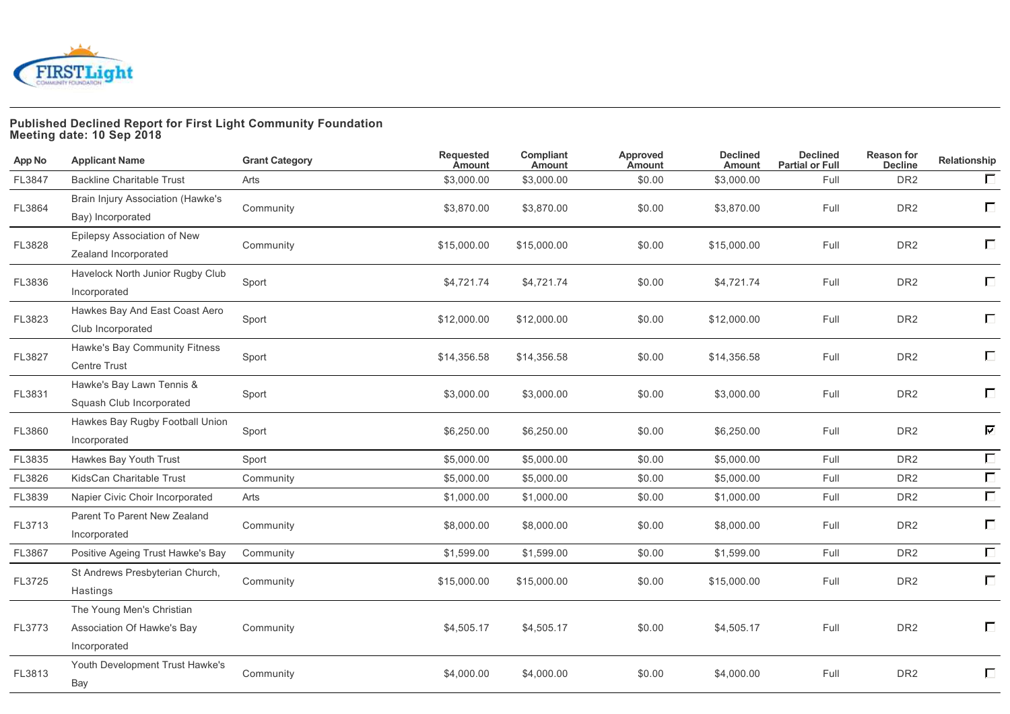

### **Published Declined Report for First Light Community Foundation Meeting date: 10 Sep 2018**

| <b>App No</b> | <b>Applicant Name</b>                                                   | <b>Grant Category</b> | <b>Requested</b><br><b>Amount</b> | Compliant<br><b>Amount</b> | Approved<br>Amount | <b>Declined</b><br><b>Amount</b> | <b>Declined</b><br><b>Partial or Full</b> | <b>Reason for</b><br><b>Decline</b> | Relationship |
|---------------|-------------------------------------------------------------------------|-----------------------|-----------------------------------|----------------------------|--------------------|----------------------------------|-------------------------------------------|-------------------------------------|--------------|
| FL3847        | <b>Backline Charitable Trust</b>                                        | Arts                  | \$3,000.00                        | \$3,000.00                 | \$0.00             | \$3,000.00                       | Full                                      | DR <sub>2</sub>                     | $\Box$       |
| FL3864        | Brain Injury Association (Hawke's<br>Bay) Incorporated                  | Community             | \$3,870.00                        | \$3,870.00                 | \$0.00             | \$3,870.00                       | Full                                      | DR <sub>2</sub>                     | $\Box$       |
| FL3828        | Epilepsy Association of New<br>Zealand Incorporated                     | Community             | \$15,000.00                       | \$15,000.00                | \$0.00             | \$15,000.00                      | Full                                      | DR <sub>2</sub>                     | Е            |
| FL3836        | Havelock North Junior Rugby Club<br>Incorporated                        | Sport                 | \$4,721.74                        | \$4,721.74                 | \$0.00             | \$4,721.74                       | Full                                      | DR <sub>2</sub>                     | $\Box$       |
| FL3823        | Hawkes Bay And East Coast Aero<br>Club Incorporated                     | Sport                 | \$12,000.00                       | \$12,000.00                | \$0.00             | \$12,000.00                      | Full                                      | DR <sub>2</sub>                     | П            |
| FL3827        | Hawke's Bay Community Fitness<br>Centre Trust                           | Sport                 | \$14,356.58                       | \$14,356.58                | \$0.00             | \$14,356.58                      | Full                                      | DR <sub>2</sub>                     | $\Box$       |
| FL3831        | Hawke's Bay Lawn Tennis &<br>Squash Club Incorporated                   | Sport                 | \$3,000.00                        | \$3,000.00                 | \$0.00             | \$3,000.00                       | Full                                      | DR <sub>2</sub>                     | П            |
| FL3860        | Hawkes Bay Rugby Football Union<br>Incorporated                         | Sport                 | \$6,250.00                        | \$6,250.00                 | \$0.00             | \$6,250.00                       | Full                                      | DR <sub>2</sub>                     | 区            |
| FL3835        | Hawkes Bay Youth Trust                                                  | Sport                 | \$5,000.00                        | \$5,000.00                 | \$0.00             | \$5,000.00                       | Full                                      | DR <sub>2</sub>                     | $\Box$       |
| FL3826        | KidsCan Charitable Trust                                                | Community             | \$5,000.00                        | \$5,000.00                 | \$0.00             | \$5,000.00                       | Full                                      | DR <sub>2</sub>                     | $\Box$       |
| FL3839        | Napier Civic Choir Incorporated                                         | Arts                  | \$1,000.00                        | \$1,000.00                 | \$0.00             | \$1,000.00                       | Full                                      | DR <sub>2</sub>                     | $\Box$       |
| FL3713        | Parent To Parent New Zealand<br>Incorporated                            | Community             | \$8,000.00                        | \$8,000.00                 | \$0.00             | \$8,000.00                       | Full                                      | DR <sub>2</sub>                     | $\Box$       |
| FL3867        | Positive Ageing Trust Hawke's Bay                                       | Community             | \$1,599.00                        | \$1,599.00                 | \$0.00             | \$1,599.00                       | Full                                      | DR <sub>2</sub>                     | $\Box$       |
| FL3725        | St Andrews Presbyterian Church,<br>Hastings                             | Community             | \$15,000.00                       | \$15,000.00                | \$0.00             | \$15,000.00                      | Full                                      | DR <sub>2</sub>                     | $\Box$       |
| FL3773        | The Young Men's Christian<br>Association Of Hawke's Bay<br>Incorporated | Community             | \$4,505.17                        | \$4,505.17                 | \$0.00             | \$4,505.17                       | Full                                      | DR <sub>2</sub>                     | П            |
| FL3813        | Youth Development Trust Hawke's<br>Bay                                  | Community             | \$4,000.00                        | \$4,000.00                 | \$0.00             | \$4,000.00                       | Full                                      | DR <sub>2</sub>                     | $\Box$       |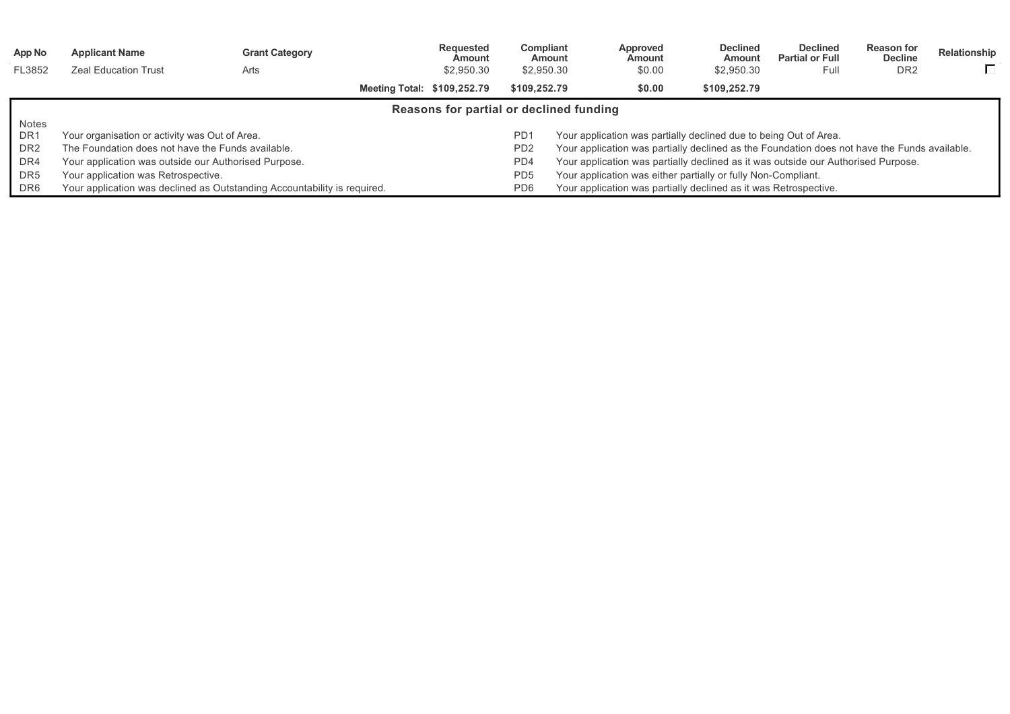| App No          | <b>Applicant Name</b>                                | <b>Grant Category</b>                                                    |                             | Reguested<br>Amount                     | Compliant                   | Amount                                                                                       | Approved<br>Amount | <b>Declined</b><br>Amount                                                         | <b>Declined</b><br><b>Partial or Full</b> | <b>Reason for</b><br><b>Decline</b> | Relationship |
|-----------------|------------------------------------------------------|--------------------------------------------------------------------------|-----------------------------|-----------------------------------------|-----------------------------|----------------------------------------------------------------------------------------------|--------------------|-----------------------------------------------------------------------------------|-------------------------------------------|-------------------------------------|--------------|
| FL3852          | <b>Zeal Education Trust</b>                          | Arts                                                                     |                             | \$2,950.30                              | \$2,950.30                  |                                                                                              | \$0.00             | \$2,950.30                                                                        | Full                                      | DR <sub>2</sub>                     | П.           |
|                 |                                                      |                                                                          | Meeting Total: \$109,252.79 |                                         | \$109.252.79                |                                                                                              | \$0.00             | \$109.252.79                                                                      |                                           |                                     |              |
|                 |                                                      |                                                                          |                             | Reasons for partial or declined funding |                             |                                                                                              |                    |                                                                                   |                                           |                                     |              |
| <b>Notes</b>    |                                                      |                                                                          |                             |                                         |                             |                                                                                              |                    |                                                                                   |                                           |                                     |              |
| DR <sub>1</sub> | Your organisation or activity was Out of Area.       |                                                                          |                             |                                         | PD <sup>-</sup>             | Your application was partially declined due to being Out of Area.                            |                    |                                                                                   |                                           |                                     |              |
| DR <sub>2</sub> | The Foundation does not have the Funds available.    |                                                                          |                             |                                         | P <sub>D</sub> <sub>2</sub> | Your application was partially declined as the Foundation does not have the Funds available. |                    |                                                                                   |                                           |                                     |              |
| DR4             | Your application was outside our Authorised Purpose. |                                                                          |                             |                                         | PD4                         |                                                                                              |                    | Your application was partially declined as it was outside our Authorised Purpose. |                                           |                                     |              |
| DR <sub>5</sub> | Your application was Retrospective.                  |                                                                          |                             |                                         | PD <sub>5</sub>             |                                                                                              |                    | Your application was either partially or fully Non-Compliant.                     |                                           |                                     |              |
| DR <sub>6</sub> |                                                      | Your application was declined as Outstanding Accountability is required. |                             |                                         | PD <sub>6</sub>             |                                                                                              |                    | Your application was partially declined as it was Retrospective.                  |                                           |                                     |              |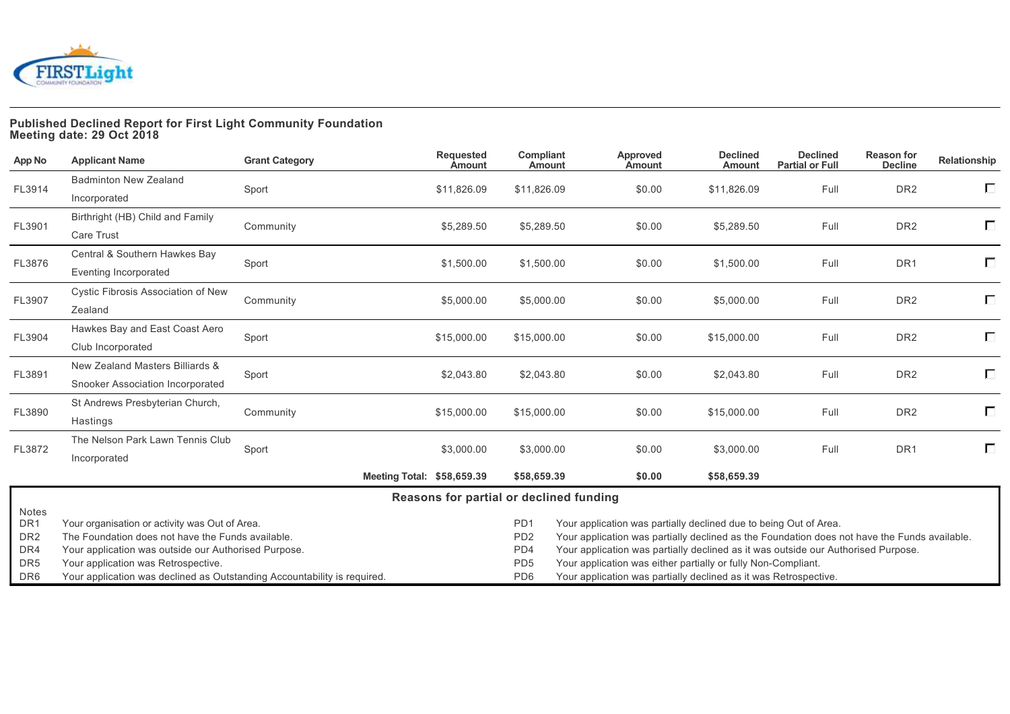

# **Published Declined Report for First Light Community Foundation Meeting date: 29 Oct 2018**

| App No                   | <b>Applicant Name</b>                                                    | <b>Grant Category</b> | <b>Requested</b><br><b>Amount</b>       | Compliant<br><b>Amount</b>                                                          | Approved<br>Amount                                                                           | <b>Declined</b><br><b>Amount</b> | <b>Declined</b><br><b>Partial or Full</b> | <b>Reason for</b><br><b>Decline</b> | Relationship |
|--------------------------|--------------------------------------------------------------------------|-----------------------|-----------------------------------------|-------------------------------------------------------------------------------------|----------------------------------------------------------------------------------------------|----------------------------------|-------------------------------------------|-------------------------------------|--------------|
| FL3914                   | <b>Badminton New Zealand</b>                                             |                       | \$11,826.09                             | \$11,826.09                                                                         | \$0.00                                                                                       | \$11,826.09                      | Full                                      | DR <sub>2</sub>                     | $\Box$       |
|                          | Incorporated                                                             | Sport                 |                                         |                                                                                     |                                                                                              |                                  |                                           |                                     |              |
| FL3901                   | Birthright (HB) Child and Family                                         | Community             | \$5,289.50                              | \$5,289.50                                                                          | \$0.00                                                                                       | \$5,289.50                       | Full                                      | DR <sub>2</sub>                     | П            |
|                          | <b>Care Trust</b>                                                        |                       |                                         |                                                                                     |                                                                                              |                                  |                                           |                                     |              |
| FL3876                   | Central & Southern Hawkes Bay                                            | Sport                 | \$1,500.00                              | \$1,500.00                                                                          | \$0.00                                                                                       | \$1,500.00                       | Full                                      | DR <sub>1</sub>                     | $\Box$       |
|                          | Eventing Incorporated                                                    |                       |                                         |                                                                                     |                                                                                              |                                  |                                           |                                     |              |
| FL3907                   | Cystic Fibrosis Association of New                                       | Community             | \$5,000.00                              | \$5,000.00                                                                          | \$0.00                                                                                       | \$5,000.00                       | Full                                      | DR <sub>2</sub>                     | $\Box$       |
|                          | Zealand                                                                  |                       |                                         |                                                                                     |                                                                                              |                                  |                                           |                                     |              |
| FL3904                   | Hawkes Bay and East Coast Aero                                           |                       | \$15,000.00                             | \$15,000.00                                                                         | \$0.00                                                                                       | \$15,000.00                      | Full                                      | DR <sub>2</sub>                     | П            |
|                          | Club Incorporated                                                        | Sport                 |                                         |                                                                                     |                                                                                              |                                  |                                           |                                     |              |
| FL3891                   | New Zealand Masters Billiards &                                          | Sport                 | \$2,043.80                              | \$2,043.80                                                                          | \$0.00                                                                                       | \$2,043.80                       | Full                                      | DR <sub>2</sub>                     | $\Box$       |
|                          | Snooker Association Incorporated                                         |                       |                                         |                                                                                     |                                                                                              |                                  |                                           |                                     |              |
| FL3890                   | St Andrews Presbyterian Church,                                          | Community             | \$15,000.00                             | \$15,000.00                                                                         | \$0.00                                                                                       | \$15,000.00                      | Full                                      | DR <sub>2</sub>                     | П            |
|                          | Hastings                                                                 |                       |                                         |                                                                                     |                                                                                              |                                  |                                           |                                     |              |
| FL3872                   | The Nelson Park Lawn Tennis Club                                         | Sport                 | \$3,000.00                              | \$3,000.00                                                                          | \$0.00                                                                                       | \$3,000.00                       | Full                                      | DR <sub>1</sub>                     | П            |
|                          | Incorporated                                                             |                       |                                         |                                                                                     |                                                                                              |                                  |                                           |                                     |              |
|                          |                                                                          |                       | Meeting Total: \$58,659.39              | \$58,659.39                                                                         | \$0.00                                                                                       | \$58,659.39                      |                                           |                                     |              |
|                          |                                                                          |                       | Reasons for partial or declined funding |                                                                                     |                                                                                              |                                  |                                           |                                     |              |
| Notes<br>DR <sub>1</sub> | Your organisation or activity was Out of Area.                           |                       |                                         | P <sub>D</sub> 1                                                                    | Your application was partially declined due to being Out of Area.                            |                                  |                                           |                                     |              |
| DR <sub>2</sub>          | The Foundation does not have the Funds available.                        |                       |                                         | PD <sub>2</sub>                                                                     | Your application was partially declined as the Foundation does not have the Funds available. |                                  |                                           |                                     |              |
| DR4                      | Your application was outside our Authorised Purpose.                     |                       |                                         | PD4                                                                                 | Your application was partially declined as it was outside our Authorised Purpose.            |                                  |                                           |                                     |              |
| DR <sub>5</sub>          | Your application was Retrospective.                                      |                       |                                         | PD <sub>5</sub><br>Your application was either partially or fully Non-Compliant.    |                                                                                              |                                  |                                           |                                     |              |
| DR <sub>6</sub>          | Your application was declined as Outstanding Accountability is required. |                       |                                         | PD <sub>6</sub><br>Your application was partially declined as it was Retrospective. |                                                                                              |                                  |                                           |                                     |              |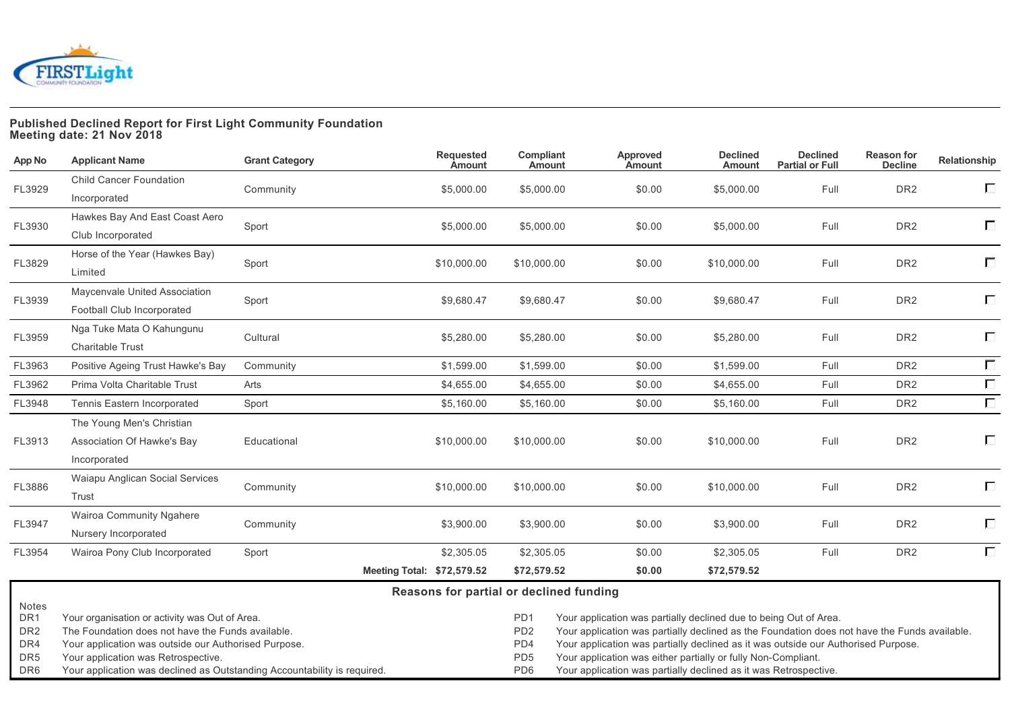

### **Published Declined Report for First Light Community Foundation Meeting date: 21 Nov 2018**

| App No                 | <b>Applicant Name</b>                                                                               | <b>Grant Category</b>                                                                | <b>Requested</b><br><b>Amount</b>       | Compliant<br>Amount    | Approved<br>Amount                                                                           | <b>Declined</b><br><b>Amount</b> | <b>Declined</b><br><b>Partial or Full</b> | <b>Reason for</b><br><b>Decline</b> | Relationship |  |
|------------------------|-----------------------------------------------------------------------------------------------------|--------------------------------------------------------------------------------------|-----------------------------------------|------------------------|----------------------------------------------------------------------------------------------|----------------------------------|-------------------------------------------|-------------------------------------|--------------|--|
| FL3929                 | <b>Child Cancer Foundation</b>                                                                      | Community                                                                            | \$5,000.00                              | \$5,000.00             | \$0.00                                                                                       | \$5,000.00                       | Full                                      | DR <sub>2</sub>                     | Е            |  |
|                        | Incorporated                                                                                        |                                                                                      |                                         |                        |                                                                                              |                                  |                                           |                                     |              |  |
| FL3930                 | Hawkes Bay And East Coast Aero                                                                      | Sport                                                                                | \$5,000.00                              | \$5,000.00             | \$0.00                                                                                       | \$5,000.00                       | Full                                      | DR <sub>2</sub>                     | $\Box$       |  |
|                        | Club Incorporated                                                                                   |                                                                                      |                                         |                        |                                                                                              |                                  |                                           |                                     |              |  |
| FL3829                 | Horse of the Year (Hawkes Bay)                                                                      |                                                                                      | \$10,000.00                             | \$10,000.00            | \$0.00                                                                                       | \$10,000.00                      | Full                                      | DR <sub>2</sub>                     | Е            |  |
|                        | Limited                                                                                             | Sport                                                                                |                                         |                        |                                                                                              |                                  |                                           |                                     |              |  |
| FL3939                 | Maycenvale United Association                                                                       |                                                                                      |                                         |                        |                                                                                              |                                  |                                           | DR <sub>2</sub>                     | $\Box$       |  |
|                        | Football Club Incorporated                                                                          | Sport                                                                                | \$9,680.47                              | \$9,680.47             | \$0.00                                                                                       | \$9,680.47                       | Full                                      |                                     |              |  |
|                        | Nga Tuke Mata O Kahungunu                                                                           |                                                                                      |                                         |                        |                                                                                              | \$5,280.00                       |                                           | DR <sub>2</sub>                     | $\Box$       |  |
| FL3959                 | <b>Charitable Trust</b>                                                                             | Cultural                                                                             | \$5,280.00                              | \$5,280.00             | \$0.00                                                                                       |                                  | Full                                      |                                     |              |  |
| FL3963                 | Positive Ageing Trust Hawke's Bay                                                                   | Community                                                                            | \$1,599.00                              | \$1,599.00             | \$0.00                                                                                       | \$1,599.00                       | Full                                      | DR <sub>2</sub>                     | $\Box$       |  |
| FL3962                 | Prima Volta Charitable Trust                                                                        | Arts                                                                                 | \$4,655.00                              | \$4,655.00             | \$0.00                                                                                       | \$4,655.00                       | Full                                      | DR <sub>2</sub>                     | $\Box$       |  |
| FL3948                 | Tennis Eastern Incorporated                                                                         | Sport                                                                                | \$5,160.00                              | \$5,160.00             | \$0.00                                                                                       | \$5,160.00                       | Full                                      | DR <sub>2</sub>                     | $\Box$       |  |
|                        | The Young Men's Christian                                                                           |                                                                                      |                                         |                        |                                                                                              |                                  |                                           |                                     |              |  |
| FL3913                 | Association Of Hawke's Bay                                                                          | Educational                                                                          | \$10,000.00                             | \$10,000.00            | \$0.00                                                                                       | \$10,000.00                      | Full                                      | DR <sub>2</sub>                     | $\Box$       |  |
|                        | Incorporated                                                                                        |                                                                                      |                                         |                        |                                                                                              |                                  |                                           |                                     |              |  |
| FL3886                 | Waiapu Anglican Social Services                                                                     | Community                                                                            | \$10,000.00                             | \$10,000.00            | \$0.00                                                                                       | \$10,000.00                      | Full                                      | DR <sub>2</sub>                     | Е            |  |
|                        | Trust                                                                                               |                                                                                      |                                         |                        |                                                                                              |                                  |                                           |                                     |              |  |
| FL3947                 | Wairoa Community Ngahere                                                                            |                                                                                      | \$3,900.00                              | \$3,900.00             |                                                                                              | \$3,900.00                       | Full                                      | DR <sub>2</sub>                     | $\Box$       |  |
|                        | Nursery Incorporated                                                                                | Community                                                                            |                                         |                        | \$0.00                                                                                       |                                  |                                           |                                     |              |  |
| FL3954                 | Wairoa Pony Club Incorporated                                                                       | Sport                                                                                | \$2,305.05                              | \$2,305.05             | \$0.00                                                                                       | \$2,305.05                       | Full                                      | DR <sub>2</sub>                     | $\Box$       |  |
|                        |                                                                                                     |                                                                                      | Meeting Total: \$72,579.52              | \$72,579.52            | \$0.00                                                                                       | \$72,579.52                      |                                           |                                     |              |  |
|                        |                                                                                                     |                                                                                      | Reasons for partial or declined funding |                        |                                                                                              |                                  |                                           |                                     |              |  |
| Notes                  |                                                                                                     | PD <sub>1</sub><br>Your application was partially declined due to being Out of Area. |                                         |                        |                                                                                              |                                  |                                           |                                     |              |  |
| DR1<br>DR <sub>2</sub> | Your organisation or activity was Out of Area.<br>The Foundation does not have the Funds available. |                                                                                      |                                         |                        | Your application was partially declined as the Foundation does not have the Funds available. |                                  |                                           |                                     |              |  |
| DR4                    | Your application was outside our Authorised Purpose.                                                |                                                                                      |                                         | PD <sub>2</sub><br>PD4 | Your application was partially declined as it was outside our Authorised Purpose.            |                                  |                                           |                                     |              |  |

DR5 Your application was Retrospective. PDF Your application was either partially or fully Non-Compliant.

DR6 Your application was declined as Outstanding Accountability is required. PD6 Your application was partially declined as it was Retrospective.